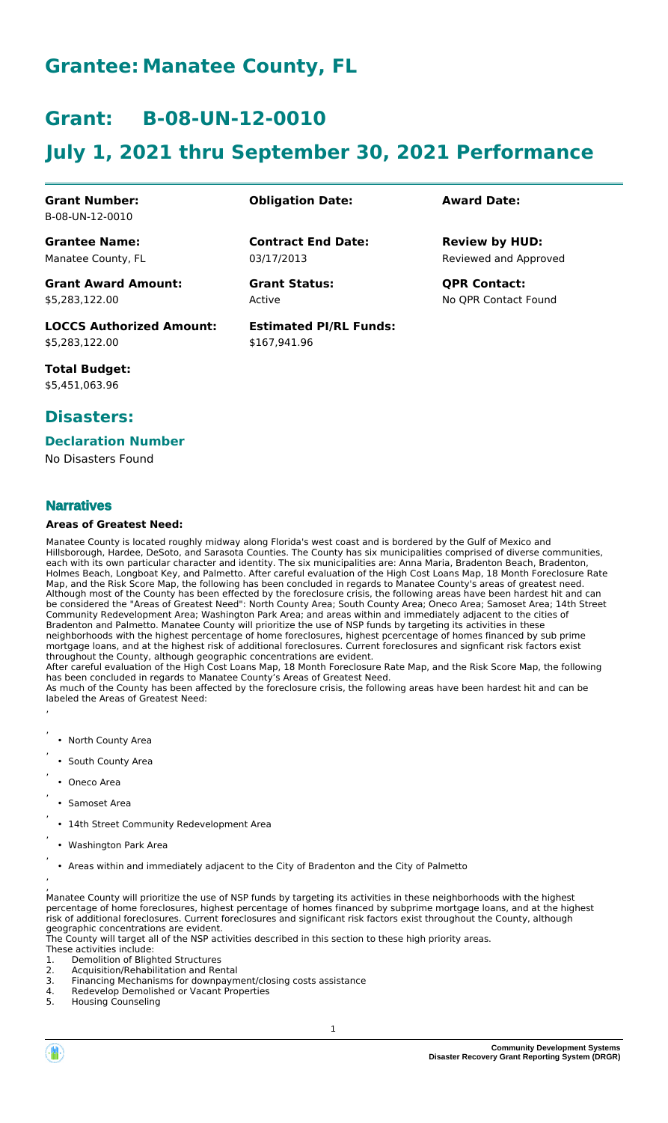# **Grantee: Manatee County, FL**

## **Grant: B-08-UN-12-0010**

# **July 1, 2021 thru September 30, 2021 Performance**

**Contract End Date:**

**Estimated PI/RL Funds:**

\$167,941.96

03/17/2013

Active

#### **Grant Number:** B-08-UN-12-0010

**Grantee Name:**

Manatee County, FL

**Grant Award Amount:** \$5,283,122.00

**LOCCS Authorized Amount:** \$5,283,122.00

**Total Budget:** \$5,451,063.96

### **Disasters:**

### **Declaration Number**

No Disasters Found

### **Narratives**

#### **Areas of Greatest Need:**

Manatee County is located roughly midway along Florida's west coast and is bordered by the Gulf of Mexico and Hillsborough, Hardee, DeSoto, and Sarasota Counties. The County has six municipalities comprised of diverse communities, each with its own particular character and identity. The six municipalities are: Anna Maria, Bradenton Beach, Bradenton, Holmes Beach, Longboat Key, and Palmetto. After careful evaluation of the High Cost Loans Map, 18 Month Foreclosure Rate Map, and the Risk Score Map, the following has been concluded in regards to Manatee County's areas of greatest need. Although most of the County has been effected by the foreclosure crisis, the following areas have been hardest hit and can be considered the "Areas of Greatest Need": North County Area; South County Area; Oneco Area; Samoset Area; 14th Street Community Redevelopment Area; Washington Park Area; and areas within and immediately adjacent to the cities of Bradenton and Palmetto. Manatee County will prioritize the use of NSP funds by targeting its activities in these neighborhoods with the highest percentage of home foreclosures, highest pcercentage of homes financed by sub prime mortgage loans, and at the highest risk of additional foreclosures. Current foreclosures and signficant risk factors exist throughout the County, although geographic concentrations are evident.

After careful evaluation of the High Cost Loans Map, 18 Month Foreclosure Rate Map, and the Risk Score Map, the following has been concluded in regards to Manatee County's Areas of Greatest Need. As much of the County has been affected by the foreclosure crisis, the following areas have been hardest hit and can be labeled the Areas of Greatest Need:

- North County Area
- South County Area
- Oneco Area

, ,

,

,

,

,

,

,

,

- Samoset Area
- 14th Street Community Redevelopment Area
- Washington Park Area
- Areas within and immediately adjacent to the City of Bradenton and the City of Palmetto

, Manatee County will prioritize the use of NSP funds by targeting its activities in these neighborhoods with the highest percentage of home foreclosures, highest percentage of homes financed by subprime mortgage loans, and at the highest risk of additional foreclosures. Current foreclosures and significant risk factors exist throughout the County, although geographic concentrations are evident.

The County will target all of the NSP activities described in this section to these high priority areas.

- These activities include:
- 1. Demolition of Blighted Structures<br>2. Acquisition/Rehabilitation and Rer
- 2. Acquisition/Rehabilitation and Rental
- 3. Financing Mechanisms for downpayment/closing costs assistance 4. Redevelop Demolished or Vacant Properties
- 5. Housing Counseling

### **Obligation Date: Award Date:**

Reviewed and Approved **Review by HUD:**

**Grant Status: QPR Contact:** No QPR Contact Found

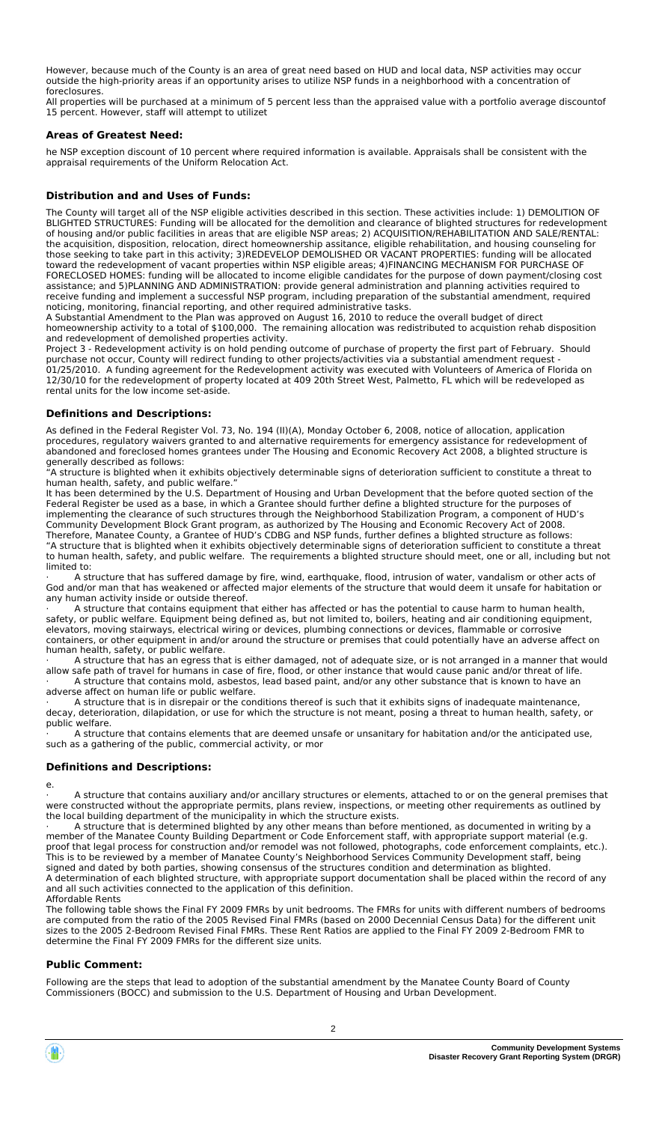However, because much of the County is an area of great need based on HUD and local data, NSP activities may occur outside the high-priority areas if an opportunity arises to utilize NSP funds in a neighborhood with a concentration of foreclosures.

All properties will be purchased at a minimum of 5 percent less than the appraised value with a portfolio average discountof 15 percent. However, staff will attempt to utilizet

#### **Areas of Greatest Need:**

he NSP exception discount of 10 percent where required information is available. Appraisals shall be consistent with the appraisal requirements of the Uniform Relocation Act.

#### **Distribution and and Uses of Funds:**

The County will target all of the NSP eligible activities described in this section. These activities include: 1) DEMOLITION OF BLIGHTED STRUCTURES: Funding will be allocated for the demolition and clearance of blighted structures for redevelopment of housing and/or public facilities in areas that are eligible NSP areas; 2) ACQUISITION/REHABILITATION AND SALE/RENTAL: the acquisition, disposition, relocation, direct homeownership assitance, eligible rehabilitation, and housing counseling for those seeking to take part in this activity; 3)REDEVELOP DEMOLISHED OR VACANT PROPERTIES: funding will be allocated toward the redevelopment of vacant properties within NSP eligible areas; 4)FINANCING MECHANISM FOR PURCHASE OF FORECLOSED HOMES: funding will be allocated to income eligible candidates for the purpose of down payment/closing cost assistance; and 5)PLANNING AND ADMINISTRATION: provide general administration and planning activities required to receive funding and implement a successful NSP program, including preparation of the substantial amendment, required noticing, monitoring, financial reporting, and other required administrative tasks.

A Substantial Amendment to the Plan was approved on August 16, 2010 to reduce the overall budget of direct homeownership activity to a total of \$100,000. The remaining allocation was redistributed to acquistion rehab disposition and redevelopment of demolished properties activity.

Project 3 - Redevelopment activity is on hold pending outcome of purchase of property the first part of February. Should purchase not occur, County will redirect funding to other projects/activities via a substantial amendment request - 01/25/2010. A funding agreement for the Redevelopment activity was executed with Volunteers of America of Florida on 12/30/10 for the redevelopment of property located at 409 20th Street West, Palmetto, FL which will be redeveloped as rental units for the low income set-aside.

#### **Definitions and Descriptions:**

As defined in the Federal Register Vol. 73, No. 194 (II)(A), Monday October 6, 2008, notice of allocation, application procedures, regulatory waivers granted to and alternative requirements for emergency assistance for redevelopment of abandoned and foreclosed homes grantees under The Housing and Economic Recovery Act 2008, a blighted structure is generally described as follows:

"A structure is blighted when it exhibits objectively determinable signs of deterioration sufficient to constitute a threat to human health, safety, and public welfare.'

It has been determined by the U.S. Department of Housing and Urban Development that the before quoted section of the Federal Register be used as a base, in which a Grantee should further define a blighted structure for the purposes of implementing the clearance of such structures through the Neighborhood Stabilization Program, a component of HUD's Community Development Block Grant program, as authorized by The Housing and Economic Recovery Act of 2008. Therefore, Manatee County, a Grantee of HUD's CDBG and NSP funds, further defines a blighted structure as follows: "A structure that is blighted when it exhibits objectively determinable signs of deterioration sufficient to constitute a threat to human health, safety, and public welfare. The requirements a blighted structure should meet, one or all, including but not limited to:

A structure that has suffered damage by fire, wind, earthquake, flood, intrusion of water, vandalism or other acts of God and/or man that has weakened or affected major elements of the structure that would deem it unsafe for habitation or any human activity inside or outside thereof.

· A structure that contains equipment that either has affected or has the potential to cause harm to human health, safety, or public welfare. Equipment being defined as, but not limited to, boilers, heating and air conditioning equipment, elevators, moving stairways, electrical wiring or devices, plumbing connections or devices, flammable or corrosive containers, or other equipment in and/or around the structure or premises that could potentially have an adverse affect on human health, safety, or public welfare.

· A structure that has an egress that is either damaged, not of adequate size, or is not arranged in a manner that would allow safe path of travel for humans in case of fire, flood, or other instance that would cause panic and/or threat of life. A structure that contains mold, asbestos, lead based paint, and/or any other substance that is known to have an adverse affect on human life or public welfare.

Se anced on namal life of pasile trensies.<br>A structure that is in disrepair or the conditions thereof is such that it exhibits signs of inadequate maintenance, decay, deterioration, dilapidation, or use for which the structure is not meant, posing a threat to human health, safety, or public welfare.

A structure that contains elements that are deemed unsafe or unsanitary for habitation and/or the anticipated use, such as a gathering of the public, commercial activity, or mor

#### **Definitions and Descriptions:**

e.

A structure that contains auxiliary and/or ancillary structures or elements, attached to or on the general premises that were constructed without the appropriate permits, plans review, inspections, or meeting other requirements as outlined by the local building department of the municipality in which the structure exists.

A structure that is determined blighted by any other means than before mentioned, as documented in writing by a member of the Manatee County Building Department or Code Enforcement staff, with appropriate support material (e.g. proof that legal process for construction and/or remodel was not followed, photographs, code enforcement complaints, etc.). This is to be reviewed by a member of Manatee County's Neighborhood Services Community Development staff, being signed and dated by both parties, showing consensus of the structures condition and determination as blighted. A determination of each blighted structure, with appropriate support documentation shall be placed within the record of any and all such activities connected to the application of this definition. Affordable Rents

The following table shows the Final FY 2009 FMRs by unit bedrooms. The FMRs for units with different numbers of bedrooms are computed from the ratio of the 2005 Revised Final FMRs (based on 2000 Decennial Census Data) for the different unit sizes to the 2005 2-Bedroom Revised Final FMRs. These Rent Ratios are applied to the Final FY 2009 2-Bedroom FMR to determine the Final FY 2009 FMRs for the different size units.

#### **Public Comment:**

Following are the steps that lead to adoption of the substantial amendment by the Manatee County Board of County Commissioners (BOCC) and submission to the U.S. Department of Housing and Urban Development.

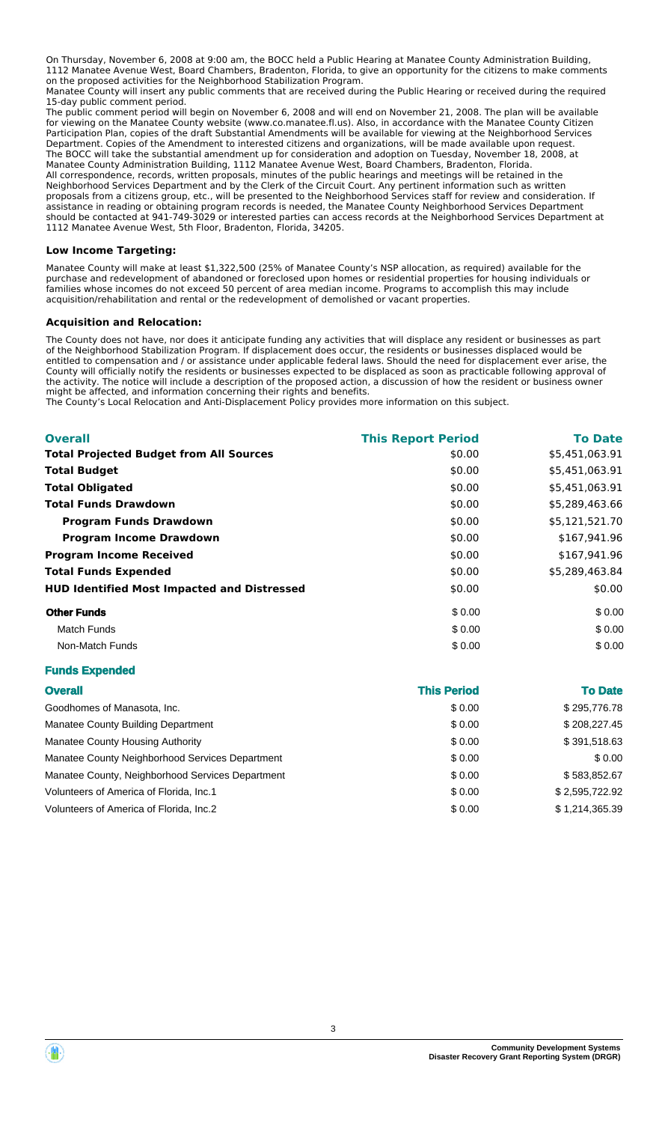On Thursday, November 6, 2008 at 9:00 am, the BOCC held a Public Hearing at Manatee County Administration Building, 1112 Manatee Avenue West, Board Chambers, Bradenton, Florida, to give an opportunity for the citizens to make comments on the proposed activities for the Neighborhood Stabilization Program.

Manatee County will insert any public comments that are received during the Public Hearing or received during the required 15-day public comment period.

The public comment period will begin on November 6, 2008 and will end on November 21, 2008. The plan will be available for viewing on the Manatee County website (www.co.manatee.fl.us). Also, in accordance with the Manatee County Citizen Participation Plan, copies of the draft Substantial Amendments will be available for viewing at the Neighborhood Services Department. Copies of the Amendment to interested citizens and organizations, will be made available upon request. The BOCC will take the substantial amendment up for consideration and adoption on Tuesday, November 18, 2008, at Manatee County Administration Building, 1112 Manatee Avenue West, Board Chambers, Bradenton, Florida. All correspondence, records, written proposals, minutes of the public hearings and meetings will be retained in the Neighborhood Services Department and by the Clerk of the Circuit Court. Any pertinent information such as written proposals from a citizens group, etc., will be presented to the Neighborhood Services staff for review and consideration. If assistance in reading or obtaining program records is needed, the Manatee County Neighborhood Services Department should be contacted at 941-749-3029 or interested parties can access records at the Neighborhood Services Department at 1112 Manatee Avenue West, 5th Floor, Bradenton, Florida, 34205.

#### **Low Income Targeting:**

Manatee County will make at least \$1,322,500 (25% of Manatee County's NSP allocation, as required) available for the purchase and redevelopment of abandoned or foreclosed upon homes or residential properties for housing individuals or families whose incomes do not exceed 50 percent of area median income. Programs to accomplish this may include acquisition/rehabilitation and rental or the redevelopment of demolished or vacant properties.

#### **Acquisition and Relocation:**

The County does not have, nor does it anticipate funding any activities that will displace any resident or businesses as part of the Neighborhood Stabilization Program. If displacement does occur, the residents or businesses displaced would be entitled to compensation and / or assistance under applicable federal laws. Should the need for displacement ever arise, the County will officially notify the residents or businesses expected to be displaced as soon as practicable following approval of the activity. The notice will include a description of the proposed action, a discussion of how the resident or business owner might be affected, and information concerning their rights and benefits.

The County's Local Relocation and Anti-Displacement Policy provides more information on this subject.

| <b>Overall</b>                                     | <b>This Report Period</b> | <b>To Date</b> |
|----------------------------------------------------|---------------------------|----------------|
| <b>Total Projected Budget from All Sources</b>     | \$0.00                    | \$5,451,063.91 |
| <b>Total Budget</b>                                | \$0.00                    | \$5,451,063.91 |
| <b>Total Obligated</b>                             | \$0.00                    | \$5,451,063.91 |
| <b>Total Funds Drawdown</b>                        | \$0.00                    | \$5,289,463.66 |
| <b>Program Funds Drawdown</b>                      | \$0.00                    | \$5,121,521.70 |
| <b>Program Income Drawdown</b>                     | \$0.00                    | \$167,941.96   |
| <b>Program Income Received</b>                     | \$0.00                    | \$167,941.96   |
| <b>Total Funds Expended</b>                        | \$0.00                    | \$5.289.463.84 |
| <b>HUD Identified Most Impacted and Distressed</b> | \$0.00                    | \$0.00         |
| <b>Other Funds</b>                                 | \$0.00                    | \$0.00         |
| <b>Match Funds</b>                                 | \$0.00                    | \$0.00         |
| Non-Match Funds                                    | \$0.00                    | \$0.00         |

#### **Funds Expended**

| <b>Overall</b>                                   | <b>This Period</b> | <b>To Date</b> |
|--------------------------------------------------|--------------------|----------------|
| Goodhomes of Manasota, Inc.                      | \$0.00             | \$295,776.78   |
| <b>Manatee County Building Department</b>        | \$0.00             | \$208,227.45   |
| Manatee County Housing Authority                 | \$0.00             | \$391,518.63   |
| Manatee County Neighborhood Services Department  | \$0.00             | \$0.00         |
| Manatee County, Neighborhood Services Department | \$0.00             | \$583,852.67   |
| Volunteers of America of Florida, Inc.1          | \$0.00             | \$2,595,722.92 |
| Volunteers of America of Florida, Inc.2          | \$0.00             | \$1,214,365.39 |